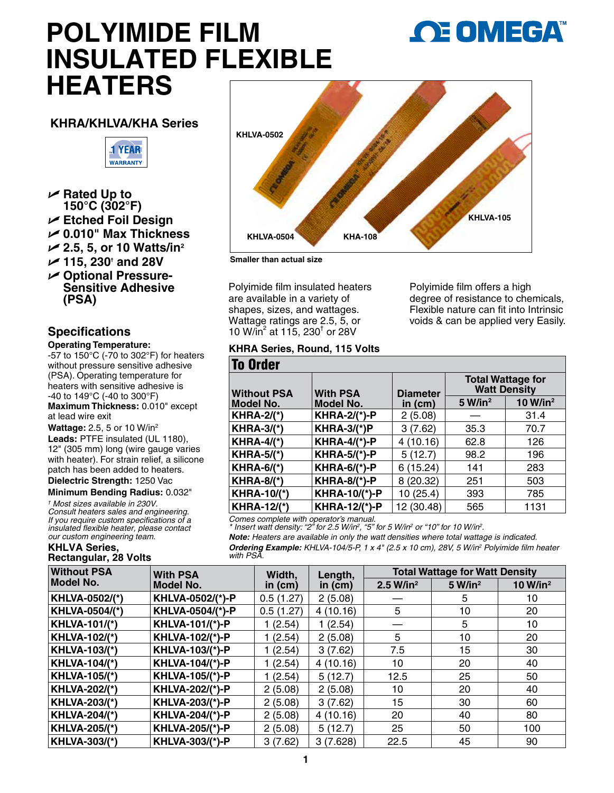# **POLYIMIDE FILM INSULATED FLEXIBLE HEATERS**



#### **KHRA/KHLVA/KHA Series**



- **∠ Rated Up to**
- **150°C (302°F)**
- U **Etched Foil Design**
- U **0.010" Max Thickness**
- U **2.5, 5, or 10 Watts/in2**
- U **115, 230† and 28V**
- **∠ Optional Pressure-Sensitive Adhesive (PSA)**

### **Specifications**

#### **Operating Temperature:**

 $-57$  to  $150^{\circ}$ C (-70 to 302 $^{\circ}$ F) for heaters without pressure sensitive adhesive (PSA). Operating temperature for heaters with sensitive adhesive is -40 to 149°C (-40 to 300°F) **Maximum Thickness:** 0.010" except at lead wire exit

**Wattage:** 2.5, 5 or 10 W/in2

**Leads:** PTFE insulated (UL 1180), 12" (305 mm) long (wire gauge varies with heater). For strain relief, a silicone patch has been added to heaters.

**Dielectric Strength:** 1250 Vac **Minimum Bending Radius:** 0.032"

*† Most sizes available in 230V. Consult heaters sales and engineering. If you require custom specifications of a insulated flexible heater, please contact our custom engineering team.*

#### **KHLVA Series, Rectangular, 28 Volts**



**Smaller than actual size**

Polyimide film insulated heaters are available in a variety of shapes, sizes, and wattages. Wattage ratings are 2.5, 5, or 10 W/in<sup>2</sup> at 115, 230<sup>t</sup> or 28V

## **KHRA Series, Round, 115 Volts**

Polyimide film offers a high degree of resistance to chemicals, Flexible nature can fit into Intrinsic voids & can be applied very Easily.

| <b>To Order</b>    |                      |                 |                                                 |                      |
|--------------------|----------------------|-----------------|-------------------------------------------------|----------------------|
| <b>Without PSA</b> | <b>With PSA</b>      | <b>Diameter</b> | <b>Total Wattage for</b><br><b>Watt Density</b> |                      |
| Model No.          | Model No.            | in $(cm)$       | 5 W/in <sup>2</sup>                             | 10 W/in <sup>2</sup> |
| <b>KHRA-2/(*)</b>  | <b>KHRA-2/(*)-P</b>  | 2(5.08)         |                                                 | 31.4                 |
| <b>KHRA-3/(*)</b>  | $KHRA-3/(*)P$        | 3(7.62)         | 35.3                                            | 70.7                 |
| $KHRA-4/(*)$       | <b>KHRA-4/(*)-P</b>  | 4 (10.16)       | 62.8                                            | 126                  |
| <b>KHRA-5/(*)</b>  | <b>KHRA-5/(*)-P</b>  | 5(12.7)         | 98.2                                            | 196                  |
| $KHRA-6/(*)$       | <b>KHRA-6/(*)-P</b>  | 6 (15.24)       | 141                                             | 283                  |
| <b>KHRA-8/(*)</b>  | <b>KHRA-8/(*)-P</b>  | 8 (20.32)       | 251                                             | 503                  |
| <b>KHRA-10/(*)</b> | <b>KHRA-10/(*)-P</b> | 10 (25.4)       | 393                                             | 785                  |
| <b>KHRA-12/(*)</b> | <b>KHRA-12/(*)-P</b> | 12 (30.48)      | 565                                             | 1131                 |

*Comes complete with operator's manual.*

*\* Insert watt density: "2" for 2.5 W/in2 , "5" for 5 W/in2 or "10" for 10 W/in2 .*

*Note: Heaters are available in only the watt densities where total wattage is indicated.*

*Ordering Example: KHLVA-104/5-P, 1 x 4" (2.5 x 10 cm), 28V, 5 W/in2 Polyimide film heater with PSA.*

| <b>Without PSA</b>    | <b>With PSA</b><br><b>Model No.</b> | Width,<br>in $(cm)$ | Length,<br>in $(cm)$ | <b>Total Wattage for Watt Density</b> |                     |                      |
|-----------------------|-------------------------------------|---------------------|----------------------|---------------------------------------|---------------------|----------------------|
| Model No.             |                                     |                     |                      | 2.5 W/in <sup>2</sup>                 | 5 W/in <sup>2</sup> | 10 W/in <sup>2</sup> |
| <b>KHLVA-0502/(*)</b> | KHLVA-0502/(*)-P                    | 0.5(1.27)           | 2(5.08)              |                                       | 5                   | 10                   |
| <b>KHLVA-0504/(*)</b> | KHLVA-0504/(*)-P                    | 0.5(1.27)           | 4(10.16)             | 5                                     | 10                  | 20                   |
| <b>KHLVA-101/(*)</b>  | <b>KHLVA-101/(*)-P</b>              | (2.54)              | 1(2.54)              |                                       | 5                   | 10                   |
| <b>KHLVA-102/(*)</b>  | <b>KHLVA-102/(*)-P</b>              | (2.54)              | 2(5.08)              | 5                                     | 10                  | 20                   |
| <b>KHLVA-103/(*)</b>  | <b>KHLVA-103/(*)-P</b>              | (2.54)              | 3(7.62)              | 7.5                                   | 15                  | 30                   |
| <b>KHLVA-104/(*)</b>  | <b>KHLVA-104/(*)-P</b>              | (2.54)              | 4(10.16)             | 10                                    | 20                  | 40                   |
| <b>KHLVA-105/(*)</b>  | <b>KHLVA-105/(*)-P</b>              | (2.54)              | 5(12.7)              | 12.5                                  | 25                  | 50                   |
| <b>KHLVA-202/(*)</b>  | <b>KHLVA-202/(*)-P</b>              | 2(5.08)             | 2(5.08)              | 10                                    | 20                  | 40                   |
| <b>KHLVA-203/(*)</b>  | <b>KHLVA-203/(*)-P</b>              | 2(5.08)             | 3(7.62)              | 15                                    | 30                  | 60                   |
| <b>KHLVA-204/(*)</b>  | <b>KHLVA-204/(*)-P</b>              | 2(5.08)             | 4(10.16)             | 20                                    | 40                  | 80                   |
| <b>KHLVA-205/(*)</b>  | <b>KHLVA-205/(*)-P</b>              | 2(5.08)             | 5(12.7)              | 25                                    | 50                  | 100                  |
| <b>KHLVA-303/(*)</b>  | <b>KHLVA-303/(*)-P</b>              | 3(7.62)             | 3(7.628)             | 22.5                                  | 45                  | 90                   |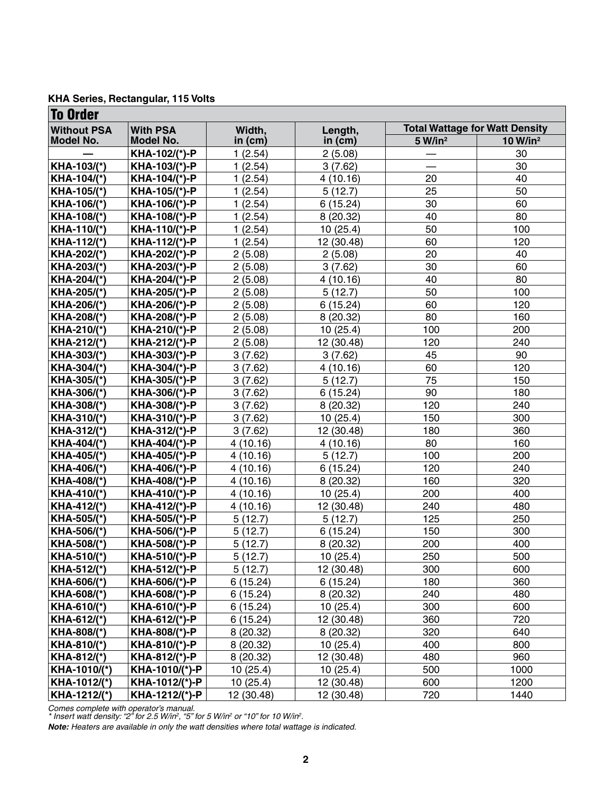|  | KHA Series, Rectangular, 115 Volts |  |
|--|------------------------------------|--|
|--|------------------------------------|--|

| <b>To Order</b>    |                  |            |            |                                       |                      |  |
|--------------------|------------------|------------|------------|---------------------------------------|----------------------|--|
| <b>Without PSA</b> | <b>With PSA</b>  | Width,     | Length,    | <b>Total Wattage for Watt Density</b> |                      |  |
| Model No.          | <b>Model No.</b> | in $(cm)$  | in $(cm)$  | 5 W/in <sup>2</sup>                   | 10 W/in <sup>2</sup> |  |
|                    | KHA-102/(*)-P    | 1(2.54)    | 2(5.08)    |                                       | 30                   |  |
| KHA-103/(*)        | KHA-103/(*)-P    | 1(2.54)    | 3(7.62)    |                                       | 30                   |  |
| KHA-104/(*)        | KHA-104/(*)-P    | 1(2.54)    | 4(10.16)   | 20                                    | 40                   |  |
| KHA-105/(*)        | KHA-105/(*)-P    | 1(2.54)    | 5(12.7)    | 25                                    | 50                   |  |
| KHA-106/(*)        | KHA-106/(*)-P    | 1(2.54)    | 6(15.24)   | 30                                    | 60                   |  |
| KHA-108/(*)        | KHA-108/(*)-P    | 1(2.54)    | 8(20.32)   | 40                                    | 80                   |  |
| KHA-110/(*)        | KHA-110/(*)-P    | 1(2.54)    | 10(25.4)   | 50                                    | 100                  |  |
| KHA-112/(*)        | KHA-112/(*)-P    | 1(2.54)    | 12 (30.48) | 60                                    | 120                  |  |
| KHA-202/(*)        | KHA-202/(*)-P    | 2(5.08)    | 2(5.08)    | 20                                    | 40                   |  |
| KHA-203/(*)        | KHA-203/(*)-P    | 2(5.08)    | 3(7.62)    | 30                                    | 60                   |  |
| KHA-204/(*)        | KHA-204/(*)-P    | 2(5.08)    | 4(10.16)   | 40                                    | 80                   |  |
| KHA-205/(*)        | KHA-205/(*)-P    | 2(5.08)    | 5(12.7)    | 50                                    | 100                  |  |
| KHA-206/(*)        | KHA-206/(*)-P    | 2(5.08)    | 6(15.24)   | 60                                    | 120                  |  |
| KHA-208/(*)        | KHA-208/(*)-P    | 2(5.08)    | 8(20.32)   | 80                                    | 160                  |  |
| KHA-210/(*)        | KHA-210/(*)-P    | 2(5.08)    | 10(25.4)   | 100                                   | 200                  |  |
| KHA-212/(*)        | KHA-212/(*)-P    | 2(5.08)    | 12 (30.48) | 120                                   | 240                  |  |
| KHA-303/(*)        | KHA-303/(*)-P    | 3(7.62)    | 3(7.62)    | 45                                    | 90                   |  |
| KHA-304/(*)        | KHA-304/(*)-P    | 3(7.62)    | 4(10.16)   | 60                                    | 120                  |  |
| KHA-305/(*)        | KHA-305/(*)-P    | 3(7.62)    | 5(12.7)    | 75                                    | 150                  |  |
| KHA-306/(*)        | KHA-306/(*)-P    | 3(7.62)    | 6(15.24)   | 90                                    | 180                  |  |
| KHA-308/(*)        | KHA-308/(*)-P    | 3(7.62)    | 8(20.32)   | 120                                   | 240                  |  |
| KHA-310/(*)        | KHA-310/(*)-P    | 3(7.62)    | 10(25.4)   | 150                                   | 300                  |  |
| KHA-312/(*)        | KHA-312/(*)-P    | 3(7.62)    | 12 (30.48) | 180                                   | 360                  |  |
| KHA-404/(*)        | KHA-404/(*)-P    | 4(10.16)   | 4(10.16)   | 80                                    | 160                  |  |
| KHA-405/(*)        | KHA-405/(*)-P    | 4(10.16)   | 5(12.7)    | 100                                   | 200                  |  |
| KHA-406/(*)        | KHA-406/(*)-P    | 4(10.16)   | 6(15.24)   | 120                                   | 240                  |  |
| KHA-408/(*)        | KHA-408/(*)-P    | 4(10.16)   | 8(20.32)   | 160                                   | 320                  |  |
| KHA-410/(*)        | KHA-410/(*)-P    | 4(10.16)   | 10(25.4)   | 200                                   | 400                  |  |
| KHA-412/(*)        | KHA-412/(*)-P    | 4(10.16)   | 12 (30.48) | 240                                   | 480                  |  |
| KHA-505/(*)        | KHA-505/(*)-P    | 5(12.7)    | 5(12.7)    | 125                                   | 250                  |  |
| KHA-506/(*)        | KHA-506/(*)-P    | 5(12.7)    | 6(15.24)   | 150                                   | 300                  |  |
| KHA-508/(*)        | KHA-508/(*)-P    | 5(12.7)    | 8(20.32)   | 200                                   | 400                  |  |
| KHA-510/(*)        | KHA-510/(*)-P    | 5(12.7)    | 10 (25.4)  | 250                                   | 500                  |  |
| KHA-512/(*)        | KHA-512/(*)-P    | 5(12.7)    | 12 (30.48) | 300                                   | 600                  |  |
| KHA-606/(*)        | KHA-606/(*)-P    | 6(15.24)   | 6(15.24)   | 180                                   | 360                  |  |
| KHA-608/(*)        | KHA-608/(*)-P    | 6(15.24)   | 8(20.32)   | 240                                   | 480                  |  |
| KHA-610/(*)        | KHA-610/(*)-P    | 6(15.24)   | 10(25.4)   | 300                                   | 600                  |  |
| KHA-612/(*)        | KHA-612/(*)-P    | 6(15.24)   | 12 (30.48) | 360                                   | 720                  |  |
| KHA-808/(*)        | KHA-808/(*)-P    | 8(20.32)   | 8(20.32)   | 320                                   | 640                  |  |
| KHA-810/(*)        | KHA-810/(*)-P    | 8(20.32)   | 10(25.4)   | 400                                   | 800                  |  |
| KHA-812/(*)        | KHA-812/(*)-P    | 8(20.32)   | 12 (30.48) | 480                                   | 960                  |  |
| KHA-1010/(*)       | KHA-1010/(*)-P   | 10(25.4)   | 10(25.4)   | 500                                   | 1000                 |  |
| KHA-1012/(*)       | KHA-1012/(*)-P   | 10(25.4)   | 12 (30.48) | 600                                   | 1200                 |  |
| KHA-1212/(*)       | KHA-1212/(*)-P   | 12 (30.48) | 12 (30.48) | 720                                   | 1440                 |  |

*Comes complete with operator's manual.*

*\* Insert watt density: "2" for 2.5 W/in2 , "5" for 5 W/in2 or "10" for 10 W/in2 .*

*Note: Heaters are available in only the watt densities where total wattage is indicated.*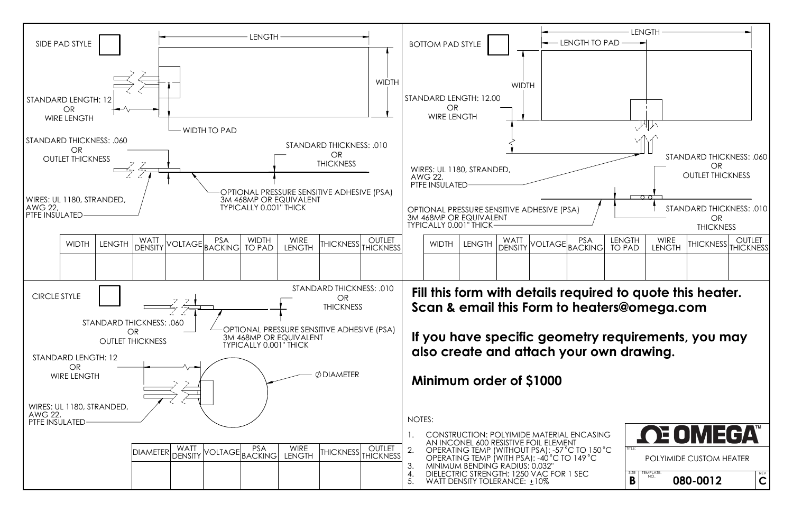